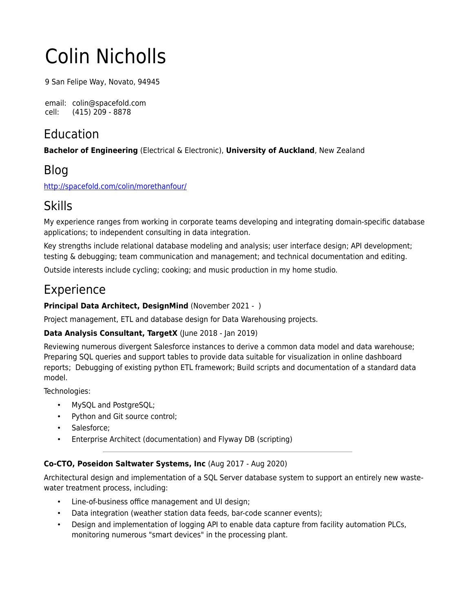# Colin Nicholls

9 San Felipe Way, Novato, 94945

email: colin@spacefold.com cell: (415) 209 - 8878

# Education

**Bachelor of Engineering** (Electrical & Electronic), **University of Auckland**, New Zealand

# Blog

<http://spacefold.com/colin/morethanfour/>

# Skills

My experience ranges from working in corporate teams developing and integrating domain-specific database applications; to independent consulting in data integration.

Key strengths include relational database modeling and analysis; user interface design; API development; testing & debugging; team communication and management; and technical documentation and editing.

Outside interests include cycling; cooking; and music production in my home studio.

# Experience

## **Principal Data Architect, DesignMind** (November 2021 - )

Project management, ETL and database design for Data Warehousing projects.

## **Data Analysis Consultant, TargetX** (June 2018 - Jan 2019)

Reviewing numerous divergent Salesforce instances to derive a common data model and data warehouse; Preparing SQL queries and support tables to provide data suitable for visualization in online dashboard reports; Debugging of existing python ETL framework; Build scripts and documentation of a standard data model.

Technologies:

- MySQL and PostgreSQL;
- Python and Git source control;
- Salesforce;
- Enterprise Architect (documentation) and Flyway DB (scripting)

## **Co-CTO, Poseidon Saltwater Systems, Inc** (Aug 2017 - Aug 2020)

Architectural design and implementation of a SQL Server database system to support an entirely new wastewater treatment process, including:

- Line-of-business office management and UI design;
- Data integration (weather station data feeds, bar-code scanner events);
- Design and implementation of logging API to enable data capture from facility automation PLCs, monitoring numerous "smart devices" in the processing plant.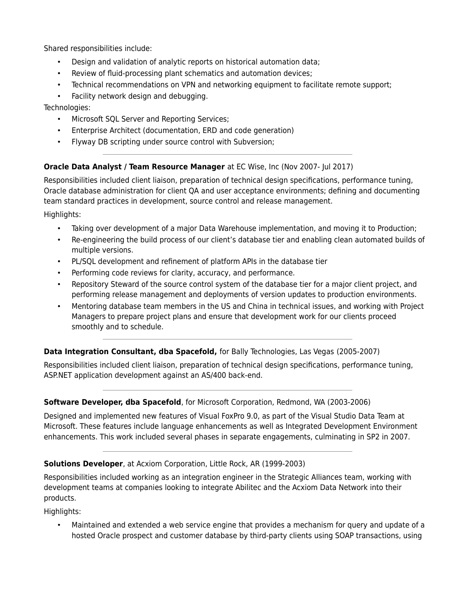Shared responsibilities include:

- Design and validation of analytic reports on historical automation data;
- Review of fluid-processing plant schematics and automation devices;
- Technical recommendations on VPN and networking equipment to facilitate remote support;
- Facility network design and debugging.

Technologies:

- Microsoft SQL Server and Reporting Services;
- Enterprise Architect (documentation, ERD and code generation)
- Flyway DB scripting under source control with Subversion;

### **Oracle Data Analyst / Team Resource Manager** at EC Wise, Inc (Nov 2007- Jul 2017)

Responsibilities included client liaison, preparation of technical design specifications, performance tuning, Oracle database administration for client QA and user acceptance environments; defining and documenting team standard practices in development, source control and release management.

Highlights:

- Taking over development of a major Data Warehouse implementation, and moving it to Production;
- Re-engineering the build process of our client's database tier and enabling clean automated builds of multiple versions.
- PL/SQL development and refinement of platform APIs in the database tier
- Performing code reviews for clarity, accuracy, and performance.
- Repository Steward of the source control system of the database tier for a major client project, and performing release management and deployments of version updates to production environments.
- Mentoring database team members in the US and China in technical issues, and working with Project Managers to prepare project plans and ensure that development work for our clients proceed smoothly and to schedule.

#### **Data Integration Consultant, dba Spacefold,** for Bally Technologies, Las Vegas (2005-2007)

Responsibilities included client liaison, preparation of technical design specifications, performance tuning, ASP.NET application development against an AS/400 back-end.

#### **Software Developer, dba Spacefold**, for Microsoft Corporation, Redmond, WA (2003-2006)

Designed and implemented new features of Visual FoxPro 9.0, as part of the Visual Studio Data Team at Microsoft. These features include language enhancements as well as Integrated Development Environment enhancements. This work included several phases in separate engagements, culminating in SP2 in 2007.

#### **Solutions Developer**, at Acxiom Corporation, Little Rock, AR (1999-2003)

Responsibilities included working as an integration engineer in the Strategic Alliances team, working with development teams at companies looking to integrate Abilitec and the Acxiom Data Network into their products.

Highlights:

• Maintained and extended a web service engine that provides a mechanism for query and update of a hosted Oracle prospect and customer database by third-party clients using SOAP transactions, using